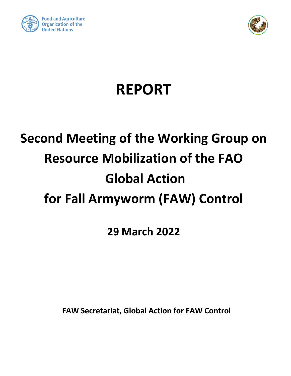



# **REPORT**

## **Second Meeting of the Working Group on Resource Mobilization of the FAO Global Action for Fall Armyworm (FAW) Control**

**29 March 2022**

**FAW Secretariat, Global Action for FAW Control**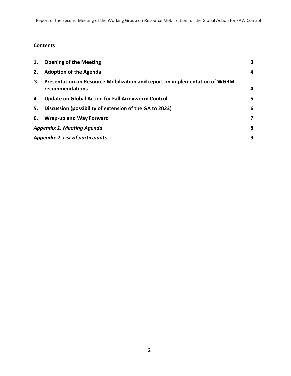## **Contents**

| 1.                                      | <b>Opening of the Meeting</b>                                                                 | 3 |
|-----------------------------------------|-----------------------------------------------------------------------------------------------|---|
| 2.                                      | <b>Adoption of the Agenda</b>                                                                 | 4 |
| 3.                                      | Presentation on Resource Mobilization and report on implementation of WGRM<br>recommendations | 4 |
| 4.                                      | <b>Update on Global Action for Fall Armyworm Control</b>                                      | 5 |
| 5.                                      | Discussion (possibility of extension of the GA to 2023)                                       | 6 |
| 6.                                      | <b>Wrap-up and Way Forward</b>                                                                | 7 |
| <b>Appendix 1: Meeting Agenda</b>       |                                                                                               |   |
| <b>Appendix 2: List of participants</b> |                                                                                               |   |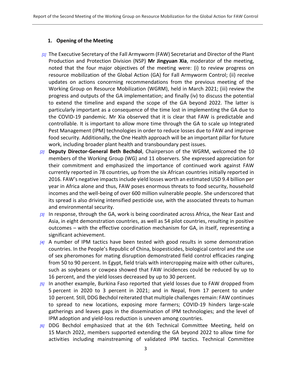#### <span id="page-2-0"></span>**1. Opening of the Meeting**

- *[1]* The Executive Secretary of the Fall Armyworm (FAW) Secretariat and Director of the Plant Production and Protection Division (NSP) **Mr Jingyuan Xia**, moderator of the meeting, noted that the four major objectives of the meeting were: (i) to review progress on resource mobilization of the Global Action (GA) for Fall Armyworm Control; (ii) receive updates on actions concerning recommendations from the previous meeting of the Working Group on Resource Mobilization (WGRM), held in March 2021; (iii) review the progress and outputs of the GA implementation; and finally (iv) to discuss the potential to extend the timeline and expand the scope of the GA beyond 2022. The latter is particularly important as a consequence of the time lost in implementing the GA due to the COVID-19 pandemic. Mr Xia observed that it is clear that FAW is predictable and controllable. It is important to allow more time through the GA to scale up Integrated Pest Management (IPM) technologies in order to reduce losses due to FAW and improve food security. Additionally, the One Health approach will be an important pillar for future work, including broader plant health and transboundary pest issues.
- *[2]* **Deputy Director-General Beth Bechdol**, Chairperson of the WGRM, welcomed the 10 members of the Working Group (WG) and 11 observers. She expressed appreciation for their commitment and emphasized the importance of continued work against FAW currently reported in 78 countries, up from the six African countries initially reported in 2016. FAW's negative impacts include yield losses worth an estimated USD 9.4 billion per year in Africa alone and thus, FAW poses enormous threats to food security, household incomes and the well-being of over 600 million vulnerable people. She underscored that its spread is also driving intensified pesticide use, with the associated threats to human and environmental security.
- *[3]* In response, through the GA, work is being coordinated across Africa, the Near East and Asia, in eight demonstration countries, as well as 54 pilot countries, resulting in positive outcomes – with the effective coordination mechanism for GA, in itself, representing a significant achievement.
- *[4]* A number of IPM tactics have been tested with good results in some demonstration countries. In the People's Republic of China, biopesticides, biological control and the use of sex pheromones for mating disruption demonstrated field control efficacies ranging from 50 to 90 percent. In Egypt, field trials with intercropping maize with other cultures, such as soybeans or cowpea showed that FAW incidences could be reduced by up to 16 percent, and the yield losses decreased by up to 30 percent.
- *[5]* In another example, Burkina Faso reported that yield losses due to FAW dropped from 5 percent in 2020 to 3 percent in 2021; and in Nepal, from 17 percent to under 10 percent. Still, DDG Bechdol reiterated that multiple challenges remain: FAW continues to spread to new locations, exposing more farmers; COVID-19 hinders large-scale gatherings and leaves gaps in the dissemination of IPM technologies; and the level of IPM adoption and yield-loss reduction is uneven among countries.
- *[6]* DDG Bechdol emphasized that at the 6th Technical Committee Meeting, held on 15 March 2022, members supported extending the GA beyond 2022 to allow time for activities including mainstreaming of validated IPM tactics. Technical Committee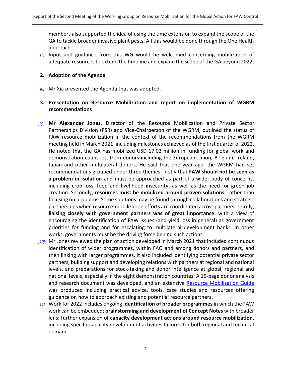members also supported the idea of using the time extension to expand the scope of the GA to tackle broader invasive plant pests. All this would be done through the One Health approach.

*[7]* Input and guidance from this WG would be welcomed concerning mobilization of adequate resources to extend the timeline and expand the scope of the GA beyond 2022.

#### <span id="page-3-0"></span>**2. Adoption of the Agenda**

<span id="page-3-1"></span>*[8]* Mr Xia presented the Agenda that was adopted.

### **3. Presentation on Resource Mobilization and report on implementation of WGRM recommendations**

- *[9]* **Mr Alexander Jones**, Director of the Resource Mobilization and Private Sector Partnerships Division (PSR) and Vice-Chairperson of the WGRM, outlined the status of FAW resource mobilization in the context of the recommendations from the WGRM meeting held in March 2021, including milestones achieved as of the first quarter of 2022. He noted that the GA has mobilized USD 17.03 million in funding for global work and demonstration countries, from donors including the European Union, Belgium, Ireland, Japan and other multilateral donors. He said that one year ago, the WGRM had set recommendations grouped under three themes, firstly that **FAW should not be seen as a problem in isolation** and must be approached as part of a wider body of concerns, including crop loss, food and livelihood insecurity, as well as the need for green job creation. Secondly, **resources must be mobilized around proven solutions**, rather than focusing on problems. Some solutions may be found through collaborations and strategic partnerships when resource-mobilization efforts are coordinated across partners. Thirdly, **liaising closely with government partners was of great importance**, with a view of encouraging the identification of FAW issues (and yield loss in general) as government priorities for funding and for escalating to multilateral development banks. In other works, governments must be the driving force behind such actions.
- *[10]* Mr Jones reviewed the plan of action developed in March 2021 that included continuous identification of wider programmes, within FAO and among donors and partners, and then linking with larger programmes. It also included identifying potential private sector partners, building support and developing relations with partners at regional and national levels, and preparations for stock-taking and donor intelligence at global, regional and national levels, especially in the eight demonstration countries. A 15-page donor analysis and research document was developed, and an extensive [Resource Mobilization Guide](https://www.fao.org/3/cb8910en/cb8910en.pdf) was produced including practical advice, tools, case studies and resources offering guidance on how to approach existing and potential resource partners.
- *[11]* Work for 2022 includes ongoing **identification of broader programmes** in which the FAW work can be embedded; **brainstorming and development of Concept Notes** with broader lens; further expansion of **capacity development actions around resource mobilization**, including specific capacity development activities tailored for both regional and technical demand.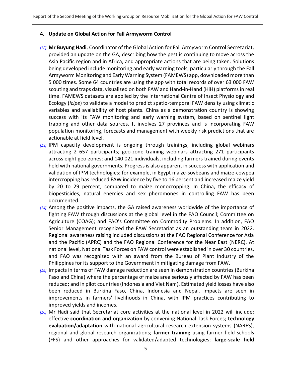#### <span id="page-4-0"></span>**4. Update on Global Action for Fall Armyworm Control**

- *[12]* **Mr Buyung Hadi**, Coordinator of the Global Action for Fall Armyworm Control Secretariat, provided an update on the GA, describing how the pest is continuing to move across the Asia Pacific region and in Africa, and appropriate actions that are being taken. Solutions being developed include monitoring and early warning tools, particularly through the Fall Armyworm Monitoring and Early Warning System (FAMEWS) app, downloaded more than 5 000 times. Some 64 countries are using the app with total records of over 63 000 FAW scouting and traps data, visualized on both FAW and Hand-in-Hand (HiH) platforms in real time. FAMEWS datasets are applied by the International Centre of Insect Physiology and Ecology (*icipe*) to validate a model to predict spatio-temporal FAW density using climatic variables and availability of host plants. China as a demonstration country is showing success with its FAW monitoring and early warning system, based on sentinel light trapping and other data sources. It involves 27 provinces and is incorporating FAW population monitoring, forecasts and management with weekly risk predictions that are actionable at field level.
- *[13]* IPM capacity development is ongoing through trainings, including global webinars attracting 2 657 participants; geo-zone training webinars attracting 271 participants across eight geo-zones; and 140 021 individuals, including farmers trained during events held with national governments. Progress is also apparent in success with application and validation of IPM technologies: for example, in Egypt maize-soybeans and maize-cowpea intercropping has reduced FAW incidence by five to 16 percent and increased maize yield by 20 to 29 percent, compared to maize monocropping. In China, the efficacy of biopesticides, natural enemies and sex pheromones in controlling FAW has been documented.
- *[14]* Among the positive impacts, the GA raised awareness worldwide of the importance of fighting FAW through discussions at the global level in the FAO Council; Committee on Agriculture (COAG); and FAO's Committee on Commodity Problems. In addition, FAO Senior Management recognized the FAW Secretariat as an outstanding team in 2022. Regional awareness raising included discussions at the FAO Regional Conference for Asia and the Pacific (APRC) and the FAO Regional Conference for the Near East (NERC). At national level, National Task Forces on FAW control were established in over 30 countries, and FAO was recognized with an award from the Bureau of Plant Industry of the Philippines for its support to the Government in mitigating damage from FAW.
- *[15]* Impacts in terms of FAW damage reduction are seen in demonstration countries (Burkina Faso and China) where the percentage of maize area seriously affected by FAW has been reduced; and in pilot countries (Indonesia and Viet Nam). Estimated yield losses have also been reduced in Burkina Faso, China, Indonesia and Nepal. Impacts are seen in improvements in farmers' livelihoods in China, with IPM practices contributing to improved yields and incomes.
- *[16]* Mr Hadi said that Secretariat core activities at the national level in 2022 will include: effective **coordination and organization** by convening National Task Forces; **technology evaluation/adaptation** with national agricultural research extension systems (NARES), regional and global research organizations; **farmer training** using farmer field schools (FFS) and other approaches for validated/adapted technologies; **large-scale field**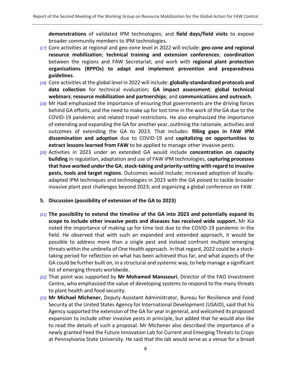**demonstrations** of validated IPM technologies; and **field days/field visits** to expose broader community members to IPM technologies.

- *[17]* Core activities at regional and geo-zone level in 2022 will include: **geo-zone and regional resource mobilization**; **technical training and extension conferences**; **coordination** between the regions and FAW Secretariat; and work with **regional plant protection organizations (RPPOs) to adapt and implement prevention and preparedness guidelines**.
- *[18]* Core activities at the global level in 2022 will include: **globally-standardized protocols and data collection** for technical evaluation; **GA impact assessment**; **global technical webinars**; **resource mobilization and partnerships**; and **communications and outreach**.
- *[19]* Mr Hadi emphasized the importance of ensuring that governments are the driving forces behind GA efforts, and the need to make up for lost time in the work of the GA due to the COVID-19 pandemic and related travel restrictions. He also emphasized the importance of extending and expanding the GA for another year, outlining the rationale, activities and outcomes of extending the GA to 2023. That includes: **filling gaps in FAW IPM dissemination and adoption** due to COVID-19 and **capitalizing on opportunities to extract lessons learned from FAW** to be applied to manage other invasive pests.
- *[20]* Activities in 2023 under an extended GA would include **concentration on capacity building** in regulation, adaptation and use of FAW IPM technologies, **capturing processes that have worked under the GA**; **stock-taking and priority-setting with regard to invasive pests, tools and target regions**. Outcomes would include; increased adoption of locallyadapted IPM techniques and technologies in 2023 with the GA poised to tackle broader invasive plant pest challenges beyond 2023; and organizing a global conference on FAW.
- <span id="page-5-0"></span>**5. Discussion (possibility of extension of the GA to 2023)**
- *[21]* **The possibility to extend the timeline of the GA into 2023 and potentially expand its scope to include other invasive pests and diseases has received wide support.** Mr Xia noted the importance of making up for time lost due to the COVID-19 pandemic in the field. He observed that with such an expanded and extended approach, it would be possible to address more than a single pest and instead confront multiple emerging threats within the umbrella of One Health approach. In that regard, 2022 could be a stocktaking period for reflection on what has been achieved thus far, and what aspects of the GA could be further built on, in a structural and systemic way, to help manage a significant list of emerging threats worldwide.
- *[22]* That point was supported by **Mr Mohamed Manssouri**, Director of the FAO Investment Centre, who emphasized the value of developing systems to respond to the many threats to plant health and food security.
- *[23]* **Mr Michael Michener,** Deputy Assistant Administrator, Bureau for Resilience and Food Security at the United States Agency for International Development (USAID), said that his Agency supported the extension of the GA for year in general, and welcomed its proposed expansion to include other invasive pests in principle, but added that he would also like to read the details of such a proposal. Mr Michener also described the importance of a newly granted Feed the Future Innovation Lab for Current and Emerging Threats to Crops at Pennsylvania State University. He said that the lab would serve as a venue for a broad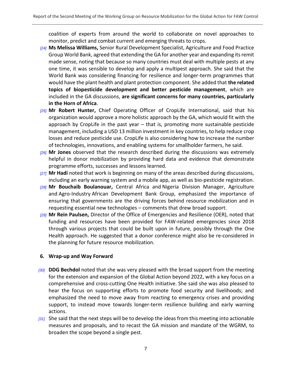coalition of experts from around the world to collaborate on novel approaches to monitor, predict and combat current and emerging threats to crops.

- *[24]* **Ms Melissa Williams,** Senior Rural Development Specialist, Agriculture and Food Practice Group World Bank, agreed that extending the GA for another year and expanding its remit made sense, noting that because so many countries must deal with multiple pests at any one time, it was sensible to develop and apply a multipest approach. She said that the World Bank was considering financing for resilience and longer-term programmes that would have the plant health and plant protection component. She added that **the related topics of biopesticide development and better pesticide management**, which are included in the GA discussions, **are significant concerns for many countries, particularly in the Horn of Africa**.
- *[25]* **Mr Robert Hunter,** Chief Operating Officer of CropLife International, said that his organization would approve a more holistic approach by the GA, which would fit with the approach by CropLife in the past year – that is, promoting more sustainable pesticide management, including a USD 13 million investment in key countries, to help reduce crop losses and reduce pesticide use. CropLife is also considering how to increase the number of technologies, innovations, and enabling systems for smallholder farmers, he said.
- *[26]* **Mr Jones** observed that the research described during the discussions was extremely helpful in donor mobilization by providing hard data and evidence that demonstrate programme efforts, successes and lessons learned.
- *[27]* **Mr Hadi** noted that work is beginning on many of the areas described during discussions, including an early warning system and a mobile app, as well as bio-pesticide registration.
- *[28]* **Mr Bouchaib Boulanouar,** Central Africa and Nigeria Division Manager, Agriculture and Agro-Industry African Development Bank Group, emphasized the importance of ensuring that governments are the driving forces behind resource mobilization and in requesting essential new technologies – comments that drew broad support.
- *[29]* **Mr Rein Paulsen,** Director of the Office of Emergencies and Resilience (OER), noted that funding and resources have been provided for FAW-related emergencies since 2018 through various projects that could be built upon in future, possibly through the One Health approach. He suggested that a donor conference might also be re-considered in the planning for future resource mobilization.

#### <span id="page-6-0"></span>**6. Wrap-up and Way Forward**

- *[30]* **DDG Bechdol** noted that she was very pleased with the broad support from the meeting for the extension and expansion of the Global Action beyond 2022, with a key focus on a comprehensive and cross-cutting One Health initiative. She said she was also pleased to hear the focus on supporting efforts to promote food security and livelihoods; and emphasized the need to move away from reacting to emergency crises and providing support, to instead move towards longer-term resilience building and early warning actions.
- <sup>[31]</sup> She said that the next steps will be to develop the ideas from this meeting into actionable measures and proposals, and to recast the GA mission and mandate of the WGRM, to broaden the scope beyond a single pest.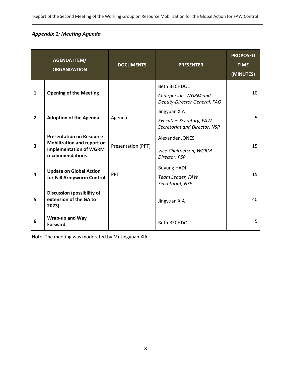## <span id="page-7-0"></span>*Appendix 1: Meeting Agenda*

|                | <b>AGENDA ITEM/</b><br><b>ORGANIZATION</b>                                                                               | <b>DOCUMENTS</b>   | <b>PRESENTER</b>                                                             | <b>PROPOSED</b><br><b>TIME</b><br>(MINUTES) |
|----------------|--------------------------------------------------------------------------------------------------------------------------|--------------------|------------------------------------------------------------------------------|---------------------------------------------|
| $\mathbf{1}$   | <b>Opening of the Meeting</b>                                                                                            |                    | <b>Beth BECHDOL</b><br>Chairperson, WGRM and<br>Deputy-Director General, FAO | 10                                          |
| $\overline{2}$ | <b>Adoption of the Agenda</b>                                                                                            | Agenda             | Jingyuan XIA<br>Executive Secretary, FAW<br>Secretariat and Director, NSP    | 5                                           |
| 3              | <b>Presentation on Resource</b><br><b>Mobilization and report on</b><br><b>Implementation of WGRM</b><br>recommendations | Presentation (PPT) | Alexander JONES<br>Vice-Chairperson, WGRM<br>Director, PSR                   | 15                                          |
| 4              | <b>Update on Global Action</b><br>for Fall Armyworm Control                                                              | PPT                | <b>Buyung HADI</b><br>Team Leader, FAW<br>Secretariat, NSP                   | 15                                          |
| 5              | <b>Discussion (possibility of</b><br>extension of the GA to<br>2023)                                                     |                    | Jingyuan XIA                                                                 | 40                                          |
| 6              | Wrap-up and Way<br><b>Forward</b>                                                                                        |                    | <b>Beth BECHDOL</b>                                                          | 5                                           |

Note: The meeting was moderated by Mr Jingyuan XIA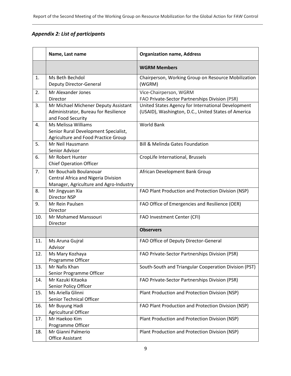## <span id="page-8-0"></span>*Appendix 2: List of participants*

|     | Name, Last name                                                                                         | <b>Organization name, Address</b>                                                                         |
|-----|---------------------------------------------------------------------------------------------------------|-----------------------------------------------------------------------------------------------------------|
|     |                                                                                                         | <b>WGRM Members</b>                                                                                       |
| 1.  | Ms Beth Bechdol<br>Deputy Director-General                                                              | Chairperson, Working Group on Resource Mobilization<br>(WGRM)                                             |
| 2.  | Mr Alexander Jones<br>Director                                                                          | Vice-Chairperson, WGRM<br>FAO Private-Sector Partnerships Division (PSR)                                  |
| 3.  | Mr Michael Michener Deputy Assistant<br>Administrator, Bureau for Resilience<br>and Food Security       | United States Agency for International Development<br>(USAID), Washington, D.C., United States of America |
| 4.  | Ms Melissa Williams<br>Senior Rural Development Specialist,<br>Agriculture and Food Practice Group      | <b>World Bank</b>                                                                                         |
| 5.  | Mr Neil Hausmann<br>Senior Advisor                                                                      | <b>Bill &amp; Melinda Gates Foundation</b>                                                                |
| 6.  | Mr Robert Hunter<br><b>Chief Operation Officer</b>                                                      | CropLife International, Brussels                                                                          |
| 7.  | Mr Bouchaib Boulanouar<br>Central Africa and Nigeria Division<br>Manager, Agriculture and Agro-Industry | African Development Bank Group                                                                            |
| 8.  | Mr Jingyuan Xia<br>Director NSP                                                                         | FAO Plant Production and Protection Division (NSP)                                                        |
| 9.  | Mr Rein Paulsen<br>Director                                                                             | FAO Office of Emergencies and Resilience (OER)                                                            |
| 10. | Mr Mohamed Manssouri<br>Director                                                                        | FAO Investment Center (CFI)                                                                               |
|     |                                                                                                         | <b>Observers</b>                                                                                          |
| 11. | Ms Aruna Gujral<br>Advisor                                                                              | FAO Office of Deputy Director-General                                                                     |
| 12. | Ms Mary Kozhaya<br>Programme Officer                                                                    | FAO Private-Sector Partnerships Division (PSR)                                                            |
| 13. | Mr Nafis Khan<br>Senior Programme Officer                                                               | South-South and Triangular Cooperation Division (PST)                                                     |
| 14. | Mr Kazuki Kitaoka<br>Senior Policy Officer                                                              | FAO Private-Sector Partnerships Division (PSR)                                                            |
| 15. | Ms Ariella Glinni<br>Senior Technical Officer                                                           | Plant Production and Protection Division (NSP)                                                            |
| 16. | Mr Buyung Hadi<br>Agricultural Officer                                                                  | FAO Plant Production and Protection Division (NSP)                                                        |
| 17. | Mr Haekoo Kim<br>Programme Officer                                                                      | Plant Production and Protection Division (NSP)                                                            |
| 18. | Mr Gianni Palmerio<br>Office Assistant                                                                  | Plant Production and Protection Division (NSP)                                                            |